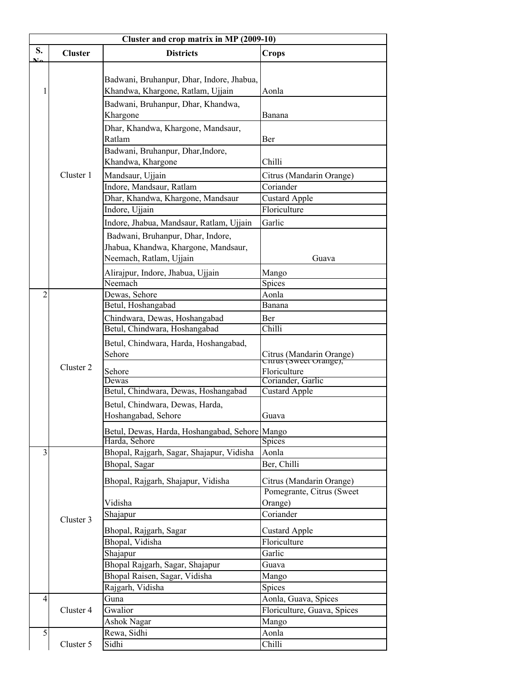| Cluster and crop matrix in MP (2009-10) |                |                                                                                                                                                                                                                                                                                                                                                                                               |                                                                                                                                                                                      |  |
|-----------------------------------------|----------------|-----------------------------------------------------------------------------------------------------------------------------------------------------------------------------------------------------------------------------------------------------------------------------------------------------------------------------------------------------------------------------------------------|--------------------------------------------------------------------------------------------------------------------------------------------------------------------------------------|--|
| S.                                      | <b>Cluster</b> | <b>Districts</b>                                                                                                                                                                                                                                                                                                                                                                              | <b>Crops</b>                                                                                                                                                                         |  |
| 1                                       | Cluster 1      | Badwani, Bruhanpur, Dhar, Indore, Jhabua,<br>Khandwa, Khargone, Ratlam, Ujjain<br>Badwani, Bruhanpur, Dhar, Khandwa,<br>Khargone<br>Dhar, Khandwa, Khargone, Mandsaur,<br>Ratlam<br>Badwani, Bruhanpur, Dhar, Indore,<br>Khandwa, Khargone<br>Mandsaur, Ujjain<br>Indore, Mandsaur, Ratlam<br>Dhar, Khandwa, Khargone, Mandsaur<br>Indore, Ujjain<br>Indore, Jhabua, Mandsaur, Ratlam, Ujjain | Aonla<br>Banana<br>Ber<br>Chilli<br>Citrus (Mandarin Orange)<br>Coriander<br><b>Custard Apple</b><br>Floriculture<br>Garlic                                                          |  |
|                                         |                | Badwani, Bruhanpur, Dhar, Indore,<br>Jhabua, Khandwa, Khargone, Mandsaur,<br>Neemach, Ratlam, Ujjain<br>Alirajpur, Indore, Jhabua, Ujjain<br>Neemach                                                                                                                                                                                                                                          | Guava<br>Mango<br>Spices                                                                                                                                                             |  |
| $\overline{2}$                          | Cluster 2      | Dewas, Sehore<br>Betul, Hoshangabad<br>Chindwara, Dewas, Hoshangabad<br>Betul, Chindwara, Hoshangabad<br>Betul, Chindwara, Harda, Hoshangabad,<br>Sehore<br>Sehore<br>Dewas<br>Betul, Chindwara, Dewas, Hoshangabad<br>Betul, Chindwara, Dewas, Harda,<br>Hoshangabad, Sehore<br>Betul, Dewas, Harda, Hoshangabad, Sehore Mango<br>Harda, Sehore                                              | Aonla<br>Banana<br>Ber<br>Chilli<br>Citrus (Mandarin Orange)<br>Citrus (Sweet Orange),<br>Floriculture<br>Coriander, Garlic<br><b>Custard Apple</b><br>Guava<br>Spices               |  |
| 3                                       | Cluster 3      | Bhopal, Rajgarh, Sagar, Shajapur, Vidisha<br>Bhopal, Sagar<br>Bhopal, Rajgarh, Shajapur, Vidisha<br>Vidisha<br>Shajapur<br>Bhopal, Rajgarh, Sagar<br>Bhopal, Vidisha<br>Shajapur<br>Bhopal Rajgarh, Sagar, Shajapur<br>Bhopal Raisen, Sagar, Vidisha<br>Rajgarh, Vidisha                                                                                                                      | Aonla<br>Ber, Chilli<br>Citrus (Mandarin Orange)<br>Pomegrante, Citrus (Sweet)<br>Orange)<br>Coriander<br><b>Custard Apple</b><br>Floriculture<br>Garlic<br>Guava<br>Mango<br>Spices |  |
| $\overline{4}$<br>5                     | Cluster 4      | Guna<br>Gwalior<br>Ashok Nagar<br>Rewa, Sidhi                                                                                                                                                                                                                                                                                                                                                 | Aonla, Guava, Spices<br>Floriculture, Guava, Spices<br>Mango<br>Aonla                                                                                                                |  |
|                                         | Cluster 5      | Sidhi                                                                                                                                                                                                                                                                                                                                                                                         | Chilli                                                                                                                                                                               |  |